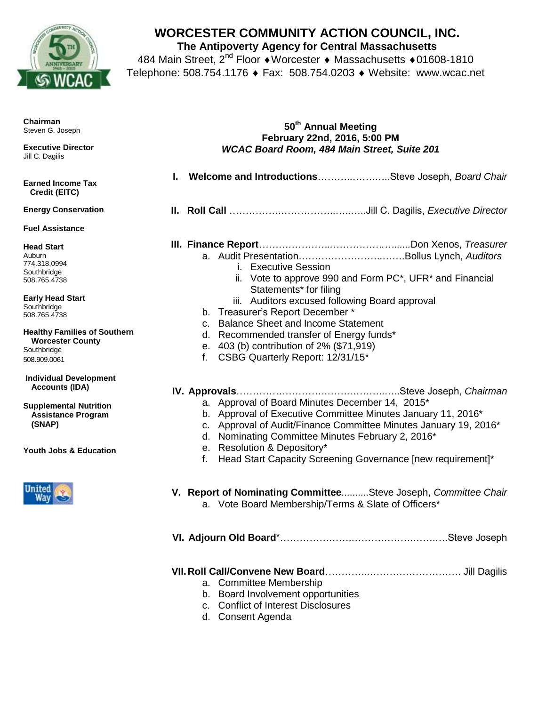

## **WORCESTER COMMUNITY ACTION COUNCIL, INC.**

**The Antipoverty Agency for Central Massachusetts**

484 Main Street, 2<sup>nd</sup> Floor ◆ Worcester ◆ Massachusetts ◆ 01608-1810 Telephone: 508.754.1176 ♦ Fax: 508.754.0203 ♦ Website: www.wcac.net

| <b>Chairman</b><br>Steven G. Joseph                                                                                                                                                                                                   | 50 <sup>th</sup> Annual Meeting<br>February 22nd, 2016, 5:00 PM                                                                                                                                                                                                                                                                                                            |
|---------------------------------------------------------------------------------------------------------------------------------------------------------------------------------------------------------------------------------------|----------------------------------------------------------------------------------------------------------------------------------------------------------------------------------------------------------------------------------------------------------------------------------------------------------------------------------------------------------------------------|
| <b>Executive Director</b><br>Jill C. Dagilis                                                                                                                                                                                          | <b>WCAC Board Room, 484 Main Street, Suite 201</b>                                                                                                                                                                                                                                                                                                                         |
| <b>Earned Income Tax</b><br>Credit (EITC)                                                                                                                                                                                             | I. Welcome and IntroductionsSteve Joseph, Board Chair                                                                                                                                                                                                                                                                                                                      |
| <b>Energy Conservation</b>                                                                                                                                                                                                            |                                                                                                                                                                                                                                                                                                                                                                            |
| <b>Fuel Assistance</b>                                                                                                                                                                                                                |                                                                                                                                                                                                                                                                                                                                                                            |
| <b>Head Start</b><br>Auburn<br>774.318.0994<br>Southbridge<br>508.765.4738<br><b>Early Head Start</b><br>Southbridge<br>508.765.4738<br><b>Healthy Families of Southern</b><br><b>Worcester County</b><br>Southbridge<br>508.909.0061 | i. Executive Session<br>ii. Vote to approve 990 and Form PC*, UFR* and Financial<br>Statements* for filing<br>iii. Auditors excused following Board approval<br>b. Treasurer's Report December*<br>c. Balance Sheet and Income Statement<br>d. Recommended transfer of Energy funds*<br>e. 403 (b) contribution of 2% (\$71,919)<br>CSBG Quarterly Report: 12/31/15*<br>f. |
| <b>Individual Development</b><br><b>Accounts (IDA)</b>                                                                                                                                                                                |                                                                                                                                                                                                                                                                                                                                                                            |
| <b>Supplemental Nutrition</b><br><b>Assistance Program</b><br>(SNAP)<br>Youth Jobs & Education                                                                                                                                        | a. Approval of Board Minutes December 14, 2015*<br>b. Approval of Executive Committee Minutes January 11, 2016*<br>c. Approval of Audit/Finance Committee Minutes January 19, 2016*<br>d. Nominating Committee Minutes February 2, 2016*<br>e. Resolution & Depository*<br>Head Start Capacity Screening Governance [new requirement]*<br>f.                               |
|                                                                                                                                                                                                                                       | V. Report of Nominating Committee Steve Joseph, Committee Chair<br>a. Vote Board Membership/Terms & Slate of Officers*                                                                                                                                                                                                                                                     |
|                                                                                                                                                                                                                                       |                                                                                                                                                                                                                                                                                                                                                                            |
|                                                                                                                                                                                                                                       | a. Committee Membership<br>b. Board Involvement opportunities<br><b>Conflict of Interest Disclosures</b><br>C.                                                                                                                                                                                                                                                             |

d. Consent Agenda